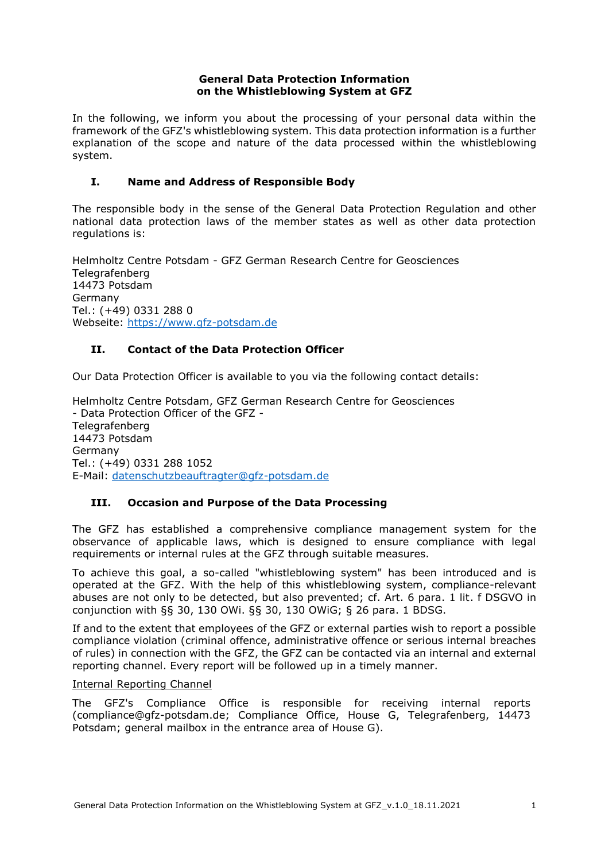### **General Data Protection Information on the Whistleblowing System at GFZ**

In the following, we inform you about the processing of your personal data within the framework of the GFZ's whistleblowing system. This data protection information is a further explanation of the scope and nature of the data processed within the whistleblowing system.

### **I. Name and Address of Responsible Body**

The responsible body in the sense of the General Data Protection Regulation and other national data protection laws of the member states as well as other data protection regulations is:

Helmholtz Centre Potsdam - GFZ German Research Centre for Geosciences **Telegrafenberg** 14473 Potsdam Germany Tel.: (+49) 0331 288 0 Webseite: [https://www.gfz-potsdam.de](https://www.gfz-potsdam.de/)

# **II. Contact of the Data Protection Officer**

Our Data Protection Officer is available to you via the following contact details:

Helmholtz Centre Potsdam, GFZ German Research Centre for Geosciences - Data Protection Officer of the GFZ - Telegrafenberg 14473 Potsdam Germany Tel.: (+49) 0331 288 1052 E-Mail: [datenschutzbeauftragter@gfz-potsdam.de](javascript:linkTo_UnCryptMailto()

### **III. Occasion and Purpose of the Data Processing**

The GFZ has established a comprehensive compliance management system for the observance of applicable laws, which is designed to ensure compliance with legal requirements or internal rules at the GFZ through suitable measures.

To achieve this goal, a so-called "whistleblowing system" has been introduced and is operated at the GFZ. With the help of this whistleblowing system, compliance-relevant abuses are not only to be detected, but also prevented; cf. Art. 6 para. 1 lit. f DSGVO in conjunction with §§ 30, 130 OWi. §§ 30, 130 OWiG; § 26 para. 1 BDSG.

If and to the extent that employees of the GFZ or external parties wish to report a possible compliance violation (criminal offence, administrative offence or serious internal breaches of rules) in connection with the GFZ, the GFZ can be contacted via an internal and external reporting channel. Every report will be followed up in a timely manner.

### Internal Reporting Channel

The GFZ's Compliance Office is responsible for receiving internal reports (compliance@gfz-potsdam.de; Compliance Office, House G, Telegrafenberg, 14473 Potsdam; general mailbox in the entrance area of House G).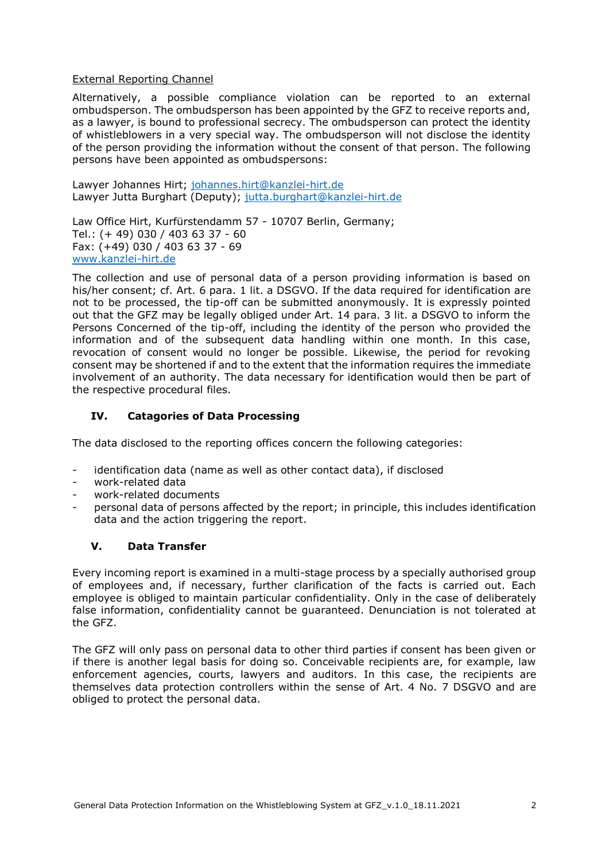### External Reporting Channel

Alternatively, a possible compliance violation can be reported to an external ombudsperson. The ombudsperson has been appointed by the GFZ to receive reports and, as a lawyer, is bound to professional secrecy. The ombudsperson can protect the identity of whistleblowers in a very special way. The ombudsperson will not disclose the identity of the person providing the information without the consent of that person. The following persons have been appointed as ombudspersons:

Lawyer Johannes Hirt; [johannes.hirt@kanzlei-hirt.de](mailto:johannes.hirt@kanzlei-hirt.de) Lawyer Jutta Burghart (Deputy); [jutta.burghart@kanzlei-hirt.de](mailto:jutta.burghart@kanzlei-hirt.de)

Law Office Hirt, Kurfürstendamm 57 - 10707 Berlin, Germany; Tel.: (+ 49) 030 / 403 63 37 - 60 Fax: (+49) 030 / 403 63 37 - 69 [www.kanzlei-hirt.de](http://www.kanzlei-hirt.de/)

The collection and use of personal data of a person providing information is based on his/her consent; cf. Art. 6 para. 1 lit. a DSGVO. If the data required for identification are not to be processed, the tip-off can be submitted anonymously. It is expressly pointed out that the GFZ may be legally obliged under Art. 14 para. 3 lit. a DSGVO to inform the Persons Concerned of the tip-off, including the identity of the person who provided the information and of the subsequent data handling within one month. In this case, revocation of consent would no longer be possible. Likewise, the period for revoking consent may be shortened if and to the extent that the information requires the immediate involvement of an authority. The data necessary for identification would then be part of the respective procedural files.

# **IV. Catagories of Data Processing**

The data disclosed to the reporting offices concern the following categories:

- identification data (name as well as other contact data), if disclosed
- work-related data
- work-related documents
- personal data of persons affected by the report; in principle, this includes identification data and the action triggering the report.

### **V. Data Transfer**

Every incoming report is examined in a multi-stage process by a specially authorised group of employees and, if necessary, further clarification of the facts is carried out. Each employee is obliged to maintain particular confidentiality. Only in the case of deliberately false information, confidentiality cannot be guaranteed. Denunciation is not tolerated at the GFZ.

The GFZ will only pass on personal data to other third parties if consent has been given or if there is another legal basis for doing so. Conceivable recipients are, for example, law enforcement agencies, courts, lawyers and auditors. In this case, the recipients are themselves data protection controllers within the sense of Art. 4 No. 7 DSGVO and are obliged to protect the personal data.